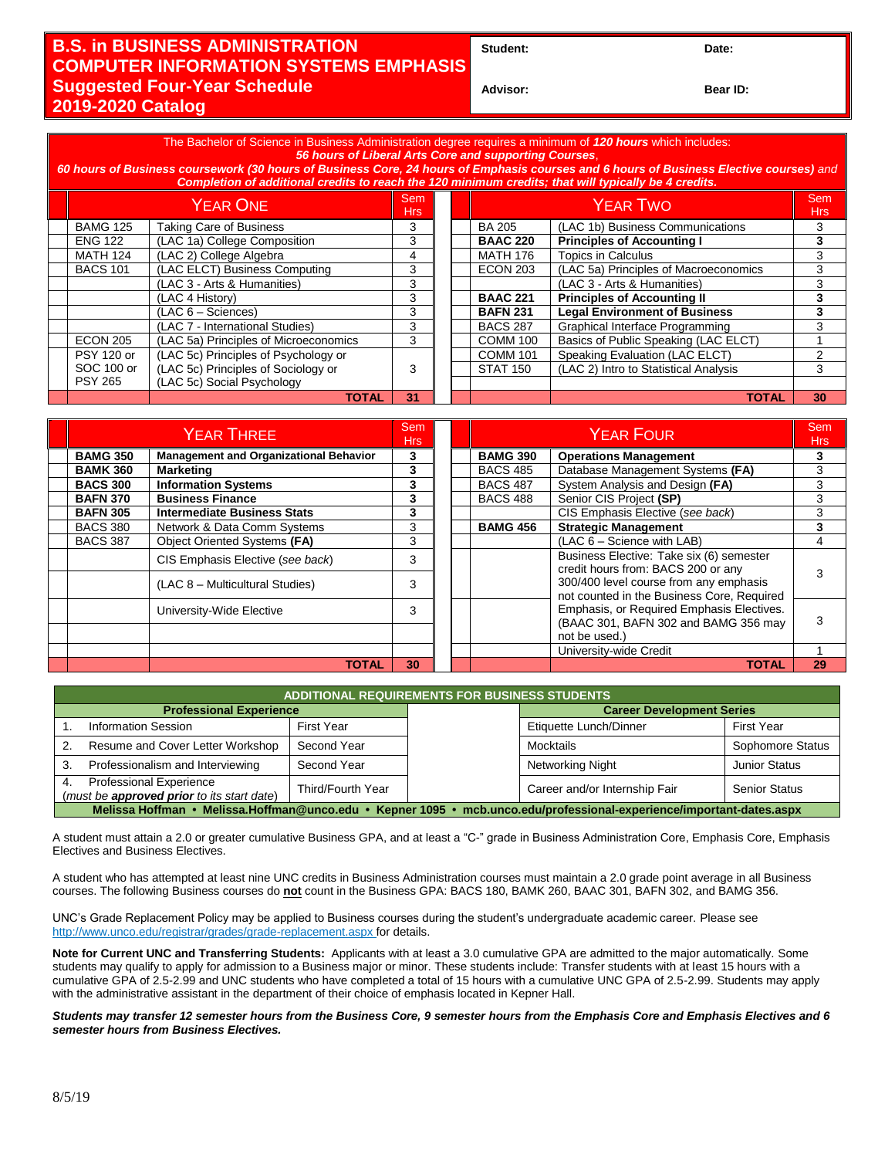## **B.S. in BUSINESS ADMINISTRATION COMPUTER INFORMATION SYSTEMS EMPHASIS Suggested Four-Year Schedule 2019-2020 Catalog**

**Student: Date:**

**Advisor: Bear ID:** 

The Bachelor of Science in Business Administration degree requires a minimum of *120 hours* which includes: *56 hours of Liberal Arts Core and supporting Courses*, *60 hours of Business coursework (30 hours of Business Core, 24 hours of Emphasis courses and 6 hours of Business Elective courses) and Completion of additional credits to reach the 120 minimum credits; that will typically be 4 credits.* YEAR ONE Sem em Research of the MEAR TWO Seminary Seminary Seminary Seminary Seminary Seminary Seminary Seminary Seminary S<br>Hrs Hrs BAMG 125 Taking Care of Business 3 BA 205 (LAC 1b) Business Communications 3

|                   |                                       | .  |                 |                                       | .  |
|-------------------|---------------------------------------|----|-----------------|---------------------------------------|----|
| <b>BAMG 125</b>   | <b>Taking Care of Business</b>        |    | <b>BA 205</b>   | (LAC 1b) Business Communications      |    |
| <b>ENG 122</b>    | (LAC 1a) College Composition          | 3  | <b>BAAC 220</b> | <b>Principles of Accounting I</b>     |    |
| <b>MATH 124</b>   | (LAC 2) College Algebra               | 4  | <b>MATH 176</b> | <b>Topics in Calculus</b>             |    |
| <b>BACS 101</b>   | (LAC ELCT) Business Computing         | 3  | <b>ECON 203</b> | (LAC 5a) Principles of Macroeconomics |    |
|                   | (LAC 3 - Arts & Humanities)           | 3  |                 | (LAC 3 - Arts & Humanities)           |    |
|                   | (LAC 4 History)                       | 3  | <b>BAAC 221</b> | <b>Principles of Accounting II</b>    | 3  |
|                   | $(LAC 6 - Sciences)$                  | 3  | <b>BAFN 231</b> | <b>Legal Environment of Business</b>  |    |
|                   | (LAC 7 - International Studies)       | 3  | <b>BACS 287</b> | Graphical Interface Programming       | 3  |
| <b>ECON 205</b>   | (LAC 5a) Principles of Microeconomics | 3  | <b>COMM 100</b> | Basics of Public Speaking (LAC ELCT)  |    |
| <b>PSY 120 or</b> | (LAC 5c) Principles of Psychology or  |    | <b>COMM 101</b> | Speaking Evaluation (LAC ELCT)        |    |
| SOC 100 or        | (LAC 5c) Principles of Sociology or   |    | <b>STAT 150</b> | (LAC 2) Intro to Statistical Analysis | 3  |
| <b>PSY 265</b>    | (LAC 5c) Social Psychology            |    |                 |                                       |    |
|                   | <b>TOTAL</b>                          | 31 |                 | <b>TOTAL</b>                          | 30 |

| <b>YEAR THREE</b> |                                               |    |  | <b>YEAR FOUR</b>                                |                                                                                      | Sem<br><b>Hrs</b> |
|-------------------|-----------------------------------------------|----|--|-------------------------------------------------|--------------------------------------------------------------------------------------|-------------------|
| <b>BAMG 350</b>   | <b>Management and Organizational Behavior</b> | 3  |  | <b>BAMG 390</b><br><b>Operations Management</b> |                                                                                      |                   |
| <b>BAMK 360</b>   | <b>Marketing</b>                              | 3  |  | <b>BACS 485</b>                                 | Database Management Systems (FA)                                                     |                   |
| <b>BACS 300</b>   | <b>Information Systems</b>                    | 3  |  | <b>BACS 487</b>                                 | System Analysis and Design (FA)                                                      |                   |
| <b>BAFN 370</b>   | <b>Business Finance</b>                       | 3  |  | <b>BACS 488</b>                                 | Senior CIS Project (SP)                                                              | 3                 |
| <b>BAFN 305</b>   | Intermediate Business Stats                   | 3  |  |                                                 | CIS Emphasis Elective (see back)                                                     |                   |
| <b>BACS 380</b>   | Network & Data Comm Systems                   | 3  |  | <b>BAMG 456</b>                                 | <b>Strategic Management</b>                                                          |                   |
| <b>BACS 387</b>   | Object Oriented Systems (FA)                  | 3  |  |                                                 | (LAC 6 - Science with LAB)                                                           |                   |
|                   | CIS Emphasis Elective (see back)              | 3  |  |                                                 | Business Elective: Take six (6) semester<br>credit hours from: BACS 200 or any       |                   |
|                   | (LAC 8 – Multicultural Studies)               | 3  |  |                                                 | 300/400 level course from any emphasis<br>not counted in the Business Core, Required |                   |
|                   | University-Wide Elective                      | 3  |  |                                                 | Emphasis, or Required Emphasis Electives.<br>(BAAC 301, BAFN 302 and BAMG 356 may    |                   |
|                   |                                               |    |  |                                                 | not be used.)                                                                        |                   |
|                   |                                               |    |  |                                                 | University-wide Credit                                                               |                   |
|                   | TOTAL                                         | 30 |  |                                                 | <b>TOTAL</b>                                                                         | 29                |

| <b>ADDITIONAL REQUIREMENTS FOR BUSINESS STUDENTS</b>                                                                 |                                                                              |                   |  |                                  |                      |  |  |  |
|----------------------------------------------------------------------------------------------------------------------|------------------------------------------------------------------------------|-------------------|--|----------------------------------|----------------------|--|--|--|
|                                                                                                                      | <b>Professional Experience</b>                                               |                   |  | <b>Career Development Series</b> |                      |  |  |  |
|                                                                                                                      | <b>Information Session</b>                                                   | First Year        |  | Etiquette Lunch/Dinner           | <b>First Year</b>    |  |  |  |
|                                                                                                                      | Resume and Cover Letter Workshop                                             | Second Year       |  | Mocktails                        | Sophomore Status     |  |  |  |
| 3.                                                                                                                   | Professionalism and Interviewing<br>Second Year                              |                   |  | Networking Night                 | <b>Junior Status</b> |  |  |  |
| 4.                                                                                                                   | <b>Professional Experience</b><br>(must be approved prior to its start date) | Third/Fourth Year |  | Career and/or Internship Fair    | <b>Senior Status</b> |  |  |  |
| Melissa Hoffman • Melissa.Hoffman@unco.edu • Kepner 1095 • mcb.unco.edu/professional-experience/important-dates.aspx |                                                                              |                   |  |                                  |                      |  |  |  |

A student must attain a 2.0 or greater cumulative Business GPA, and at least a "C-" grade in Business Administration Core, Emphasis Core, Emphasis Electives and Business Electives.

A student who has attempted at least nine UNC credits in Business Administration courses must maintain a 2.0 grade point average in all Business courses. The following Business courses do **not** count in the Business GPA: BACS 180, BAMK 260, BAAC 301, BAFN 302, and BAMG 356.

UNC's Grade Replacement Policy may be applied to Business courses during the student's undergraduate academic career. Please see http://www.unco.edu/registrar/grades/grade-replacement.aspx for details.

**Note for Current UNC and Transferring Students:** Applicants with at least a 3.0 cumulative GPA are admitted to the major automatically. Some students may qualify to apply for admission to a Business major or minor. These students include: Transfer students with at least 15 hours with a cumulative GPA of 2.5-2.99 and UNC students who have completed a total of 15 hours with a cumulative UNC GPA of 2.5-2.99. Students may apply with the administrative assistant in the department of their choice of emphasis located in Kepner Hall.

*Students may transfer 12 semester hours from the Business Core, 9 semester hours from the Emphasis Core and Emphasis Electives and 6 semester hours from Business Electives.*